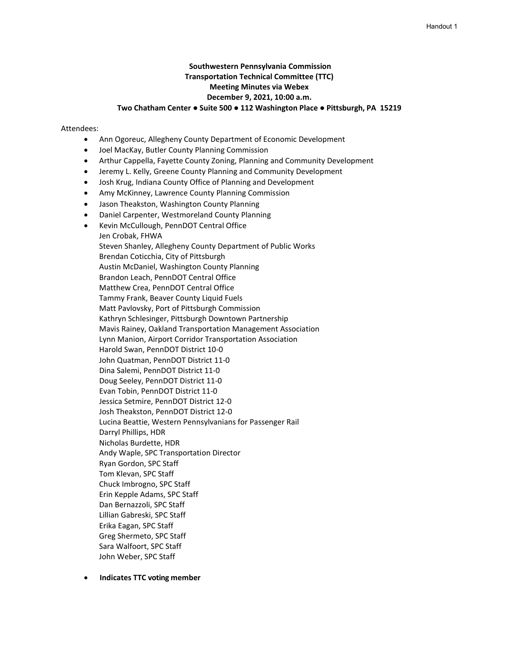#### Handout 1

# **Southwestern Pennsylvania Commission Transportation Technical Committee (TTC) Meeting Minutes via Webex December 9, 2021, 10:00 a.m. Two Chatham Center ● Suite 500 ● 112 Washington Place ● Pittsburgh, PA 15219**

#### Attendees:

- Ann Ogoreuc, Allegheny County Department of Economic Development
- Joel MacKay, Butler County Planning Commission
- Arthur Cappella, Fayette County Zoning, Planning and Community Development
- Jeremy L. Kelly, Greene County Planning and Community Development
- Josh Krug, Indiana County Office of Planning and Development
- Amy McKinney, Lawrence County Planning Commission
- Jason Theakston, Washington County Planning
- Daniel Carpenter, Westmoreland County Planning
- Kevin McCullough, PennDOT Central Office

Jen Crobak, FHWA Steven Shanley, Allegheny County Department of Public Works Brendan Coticchia, City of Pittsburgh Austin McDaniel, Washington County Planning Brandon Leach, PennDOT Central Office Matthew Crea, PennDOT Central Office Tammy Frank, Beaver County Liquid Fuels Matt Pavlovsky, Port of Pittsburgh Commission Kathryn Schlesinger, Pittsburgh Downtown Partnership Mavis Rainey, Oakland Transportation Management Association Lynn Manion, Airport Corridor Transportation Association Harold Swan, PennDOT District 10-0 John Quatman, PennDOT District 11-0 Dina Salemi, PennDOT District 11-0 Doug Seeley, PennDOT District 11-0 Evan Tobin, PennDOT District 11-0 Jessica Setmire, PennDOT District 12-0 Josh Theakston, PennDOT District 12-0 Lucina Beattie, Western Pennsylvanians for Passenger Rail Darryl Phillips, HDR Nicholas Burdette, HDR Andy Waple, SPC Transportation Director Ryan Gordon, SPC Staff Tom Klevan, SPC Staff Chuck Imbrogno, SPC Staff Erin Kepple Adams, SPC Staff Dan Bernazzoli, SPC Staff Lillian Gabreski, SPC Staff Erika Eagan, SPC Staff Greg Shermeto, SPC Staff Sara Walfoort, SPC Staff John Weber, SPC Staff

• **Indicates TTC voting member**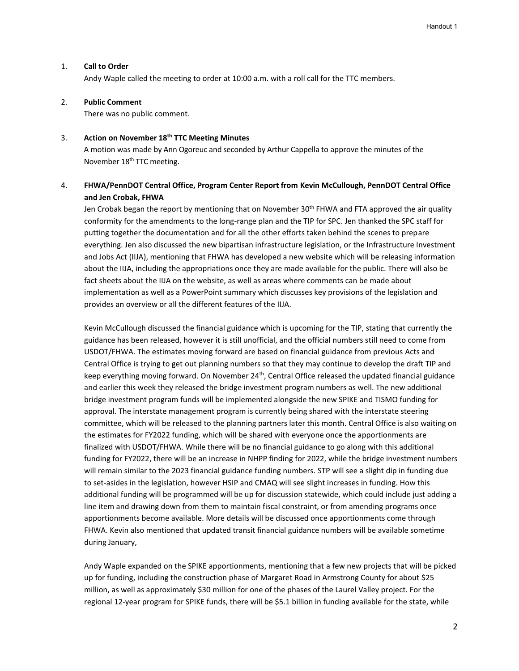### 1. **Call to Order**

Andy Waple called the meeting to order at 10:00 a.m. with a roll call for the TTC members.

### 2. **Public Comment**

There was no public comment.

### 3. **Action on November 18th TTC Meeting Minutes**

A motion was made by Ann Ogoreuc and seconded by Arthur Cappella to approve the minutes of the November 18<sup>th</sup> TTC meeting.

# 4. **FHWA/PennDOT Central Office, Program Center Report from Kevin McCullough, PennDOT Central Office and Jen Crobak, FHWA**

Jen Crobak began the report by mentioning that on November 30<sup>th</sup> FHWA and FTA approved the air quality conformity for the amendments to the long-range plan and the TIP for SPC. Jen thanked the SPC staff for putting together the documentation and for all the other efforts taken behind the scenes to prepare everything. Jen also discussed the new bipartisan infrastructure legislation, or the Infrastructure Investment and Jobs Act (IIJA), mentioning that FHWA has developed a new website which will be releasing information about the IIJA, including the appropriations once they are made available for the public. There will also be fact sheets about the IIJA on the website, as well as areas where comments can be made about implementation as well as a PowerPoint summary which discusses key provisions of the legislation and provides an overview or all the different features of the IIJA.

Kevin McCullough discussed the financial guidance which is upcoming for the TIP, stating that currently the guidance has been released, however it is still unofficial, and the official numbers still need to come from USDOT/FHWA. The estimates moving forward are based on financial guidance from previous Acts and Central Office is trying to get out planning numbers so that they may continue to develop the draft TIP and keep everything moving forward. On November 24<sup>th</sup>, Central Office released the updated financial guidance and earlier this week they released the bridge investment program numbers as well. The new additional bridge investment program funds will be implemented alongside the new SPIKE and TISMO funding for approval. The interstate management program is currently being shared with the interstate steering committee, which will be released to the planning partners later this month. Central Office is also waiting on the estimates for FY2022 funding, which will be shared with everyone once the apportionments are finalized with USDOT/FHWA. While there will be no financial guidance to go along with this additional funding for FY2022, there will be an increase in NHPP finding for 2022, while the bridge investment numbers will remain similar to the 2023 financial guidance funding numbers. STP will see a slight dip in funding due to set-asides in the legislation, however HSIP and CMAQ will see slight increases in funding. How this additional funding will be programmed will be up for discussion statewide, which could include just adding a line item and drawing down from them to maintain fiscal constraint, or from amending programs once apportionments become available. More details will be discussed once apportionments come through FHWA. Kevin also mentioned that updated transit financial guidance numbers will be available sometime during January,

Andy Waple expanded on the SPIKE apportionments, mentioning that a few new projects that will be picked up for funding, including the construction phase of Margaret Road in Armstrong County for about \$25 million, as well as approximately \$30 million for one of the phases of the Laurel Valley project. For the regional 12-year program for SPIKE funds, there will be \$5.1 billion in funding available for the state, while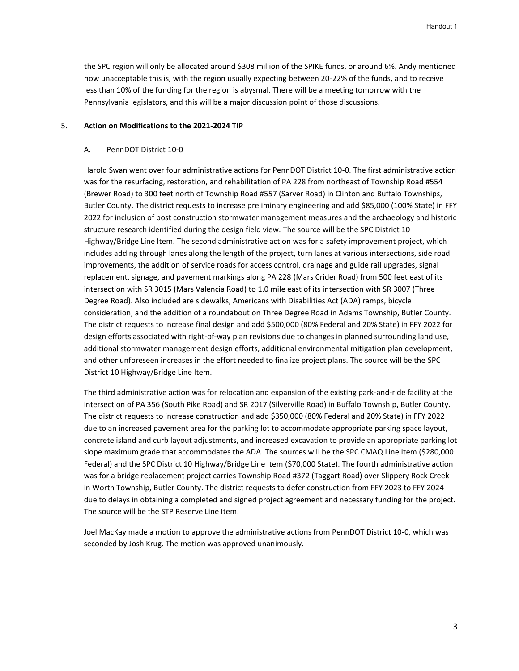the SPC region will only be allocated around \$308 million of the SPIKE funds, or around 6%. Andy mentioned how unacceptable this is, with the region usually expecting between 20-22% of the funds, and to receive less than 10% of the funding for the region is abysmal. There will be a meeting tomorrow with the Pennsylvania legislators, and this will be a major discussion point of those discussions.

### 5. **Action on Modifications to the 2021-2024 TIP**

#### A. PennDOT District 10-0

Harold Swan went over four administrative actions for PennDOT District 10-0. The first administrative action was for the resurfacing, restoration, and rehabilitation of PA 228 from northeast of Township Road #554 (Brewer Road) to 300 feet north of Township Road #557 (Sarver Road) in Clinton and Buffalo Townships, Butler County. The district requests to increase preliminary engineering and add \$85,000 (100% State) in FFY 2022 for inclusion of post construction stormwater management measures and the archaeology and historic structure research identified during the design field view. The source will be the SPC District 10 Highway/Bridge Line Item. The second administrative action was for a safety improvement project, which includes adding through lanes along the length of the project, turn lanes at various intersections, side road improvements, the addition of service roads for access control, drainage and guide rail upgrades, signal replacement, signage, and pavement markings along PA 228 (Mars Crider Road) from 500 feet east of its intersection with SR 3015 (Mars Valencia Road) to 1.0 mile east of its intersection with SR 3007 (Three Degree Road). Also included are sidewalks, Americans with Disabilities Act (ADA) ramps, bicycle consideration, and the addition of a roundabout on Three Degree Road in Adams Township, Butler County. The district requests to increase final design and add \$500,000 (80% Federal and 20% State) in FFY 2022 for design efforts associated with right-of-way plan revisions due to changes in planned surrounding land use, additional stormwater management design efforts, additional environmental mitigation plan development, and other unforeseen increases in the effort needed to finalize project plans. The source will be the SPC District 10 Highway/Bridge Line Item.

The third administrative action was for relocation and expansion of the existing park-and-ride facility at the intersection of PA 356 (South Pike Road) and SR 2017 (Silverville Road) in Buffalo Township, Butler County. The district requests to increase construction and add \$350,000 (80% Federal and 20% State) in FFY 2022 due to an increased pavement area for the parking lot to accommodate appropriate parking space layout, concrete island and curb layout adjustments, and increased excavation to provide an appropriate parking lot slope maximum grade that accommodates the ADA. The sources will be the SPC CMAQ Line Item (\$280,000 Federal) and the SPC District 10 Highway/Bridge Line Item (\$70,000 State). The fourth administrative action was for a bridge replacement project carries Township Road #372 (Taggart Road) over Slippery Rock Creek in Worth Township, Butler County. The district requests to defer construction from FFY 2023 to FFY 2024 due to delays in obtaining a completed and signed project agreement and necessary funding for the project. The source will be the STP Reserve Line Item.

Joel MacKay made a motion to approve the administrative actions from PennDOT District 10-0, which was seconded by Josh Krug. The motion was approved unanimously.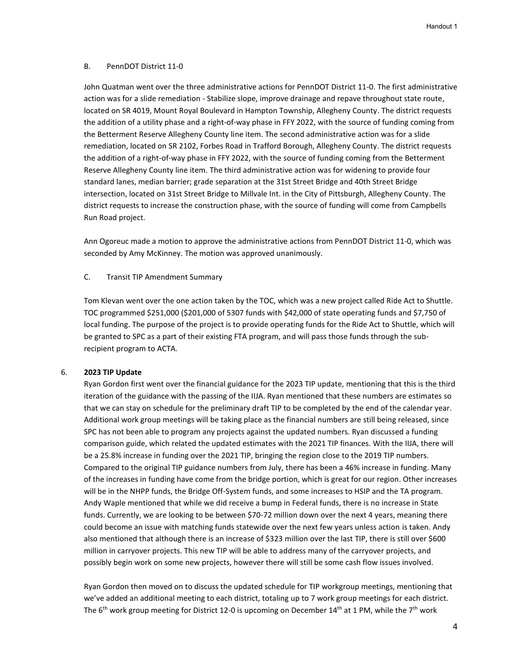### B. PennDOT District 11-0

John Quatman went over the three administrative actions for PennDOT District 11-0. The first administrative action was for a slide remediation - Stabilize slope, improve drainage and repave throughout state route, located on SR 4019, Mount Royal Boulevard in Hampton Township, Allegheny County. The district requests the addition of a utility phase and a right-of-way phase in FFY 2022, with the source of funding coming from the Betterment Reserve Allegheny County line item. The second administrative action was for a slide remediation, located on SR 2102, Forbes Road in Trafford Borough, Allegheny County. The district requests the addition of a right-of-way phase in FFY 2022, with the source of funding coming from the Betterment Reserve Allegheny County line item. The third administrative action was for widening to provide four standard lanes, median barrier; grade separation at the 31st Street Bridge and 40th Street Bridge intersection, located on 31st Street Bridge to Millvale Int. in the City of Pittsburgh, Allegheny County. The district requests to increase the construction phase, with the source of funding will come from Campbells Run Road project.

Ann Ogoreuc made a motion to approve the administrative actions from PennDOT District 11-0, which was seconded by Amy McKinney. The motion was approved unanimously.

### C. Transit TIP Amendment Summary

Tom Klevan went over the one action taken by the TOC, which was a new project called Ride Act to Shuttle. TOC programmed \$251,000 (\$201,000 of 5307 funds with \$42,000 of state operating funds and \$7,750 of local funding. The purpose of the project is to provide operating funds for the Ride Act to Shuttle, which will be granted to SPC as a part of their existing FTA program, and will pass those funds through the subrecipient program to ACTA.

### 6. **2023 TIP Update**

Ryan Gordon first went over the financial guidance for the 2023 TIP update, mentioning that this is the third iteration of the guidance with the passing of the IIJA. Ryan mentioned that these numbers are estimates so that we can stay on schedule for the preliminary draft TIP to be completed by the end of the calendar year. Additional work group meetings will be taking place as the financial numbers are still being released, since SPC has not been able to program any projects against the updated numbers. Ryan discussed a funding comparison guide, which related the updated estimates with the 2021 TIP finances. With the IIJA, there will be a 25.8% increase in funding over the 2021 TIP, bringing the region close to the 2019 TIP numbers. Compared to the original TIP guidance numbers from July, there has been a 46% increase in funding. Many of the increases in funding have come from the bridge portion, which is great for our region. Other increases will be in the NHPP funds, the Bridge Off-System funds, and some increases to HSIP and the TA program. Andy Waple mentioned that while we did receive a bump in Federal funds, there is no increase in State funds. Currently, we are looking to be between \$70-72 million down over the next 4 years, meaning there could become an issue with matching funds statewide over the next few years unless action is taken. Andy also mentioned that although there is an increase of \$323 million over the last TIP, there is still over \$600 million in carryover projects. This new TIP will be able to address many of the carryover projects, and possibly begin work on some new projects, however there will still be some cash flow issues involved.

Ryan Gordon then moved on to discuss the updated schedule for TIP workgroup meetings, mentioning that we've added an additional meeting to each district, totaling up to 7 work group meetings for each district. The 6<sup>th</sup> work group meeting for District 12-0 is upcoming on December 14<sup>th</sup> at 1 PM, while the 7<sup>th</sup> work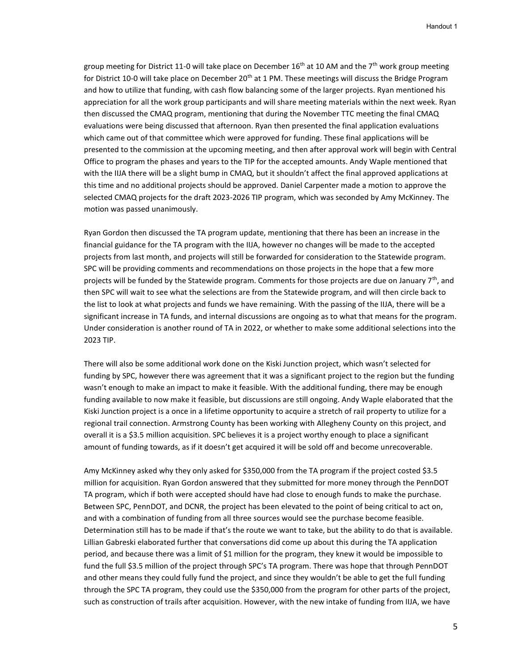group meeting for District 11-0 will take place on December 16<sup>th</sup> at 10 AM and the 7<sup>th</sup> work group meeting for District 10-0 will take place on December 20<sup>th</sup> at 1 PM. These meetings will discuss the Bridge Program and how to utilize that funding, with cash flow balancing some of the larger projects. Ryan mentioned his appreciation for all the work group participants and will share meeting materials within the next week. Ryan then discussed the CMAQ program, mentioning that during the November TTC meeting the final CMAQ evaluations were being discussed that afternoon. Ryan then presented the final application evaluations which came out of that committee which were approved for funding. These final applications will be presented to the commission at the upcoming meeting, and then after approval work will begin with Central Office to program the phases and years to the TIP for the accepted amounts. Andy Waple mentioned that with the IIJA there will be a slight bump in CMAQ, but it shouldn't affect the final approved applications at this time and no additional projects should be approved. Daniel Carpenter made a motion to approve the selected CMAQ projects for the draft 2023-2026 TIP program, which was seconded by Amy McKinney. The motion was passed unanimously.

Ryan Gordon then discussed the TA program update, mentioning that there has been an increase in the financial guidance for the TA program with the IIJA, however no changes will be made to the accepted projects from last month, and projects will still be forwarded for consideration to the Statewide program. SPC will be providing comments and recommendations on those projects in the hope that a few more projects will be funded by the Statewide program. Comments for those projects are due on January 7<sup>th</sup>, and then SPC will wait to see what the selections are from the Statewide program, and will then circle back to the list to look at what projects and funds we have remaining. With the passing of the IIJA, there will be a significant increase in TA funds, and internal discussions are ongoing as to what that means for the program. Under consideration is another round of TA in 2022, or whether to make some additional selections into the 2023 TIP.

There will also be some additional work done on the Kiski Junction project, which wasn't selected for funding by SPC, however there was agreement that it was a significant project to the region but the funding wasn't enough to make an impact to make it feasible. With the additional funding, there may be enough funding available to now make it feasible, but discussions are still ongoing. Andy Waple elaborated that the Kiski Junction project is a once in a lifetime opportunity to acquire a stretch of rail property to utilize for a regional trail connection. Armstrong County has been working with Allegheny County on this project, and overall it is a \$3.5 million acquisition. SPC believes it is a project worthy enough to place a significant amount of funding towards, as if it doesn't get acquired it will be sold off and become unrecoverable.

Amy McKinney asked why they only asked for \$350,000 from the TA program if the project costed \$3.5 million for acquisition. Ryan Gordon answered that they submitted for more money through the PennDOT TA program, which if both were accepted should have had close to enough funds to make the purchase. Between SPC, PennDOT, and DCNR, the project has been elevated to the point of being critical to act on, and with a combination of funding from all three sources would see the purchase become feasible. Determination still has to be made if that's the route we want to take, but the ability to do that is available. Lillian Gabreski elaborated further that conversations did come up about this during the TA application period, and because there was a limit of \$1 million for the program, they knew it would be impossible to fund the full \$3.5 million of the project through SPC's TA program. There was hope that through PennDOT and other means they could fully fund the project, and since they wouldn't be able to get the full funding through the SPC TA program, they could use the \$350,000 from the program for other parts of the project, such as construction of trails after acquisition. However, with the new intake of funding from IIJA, we have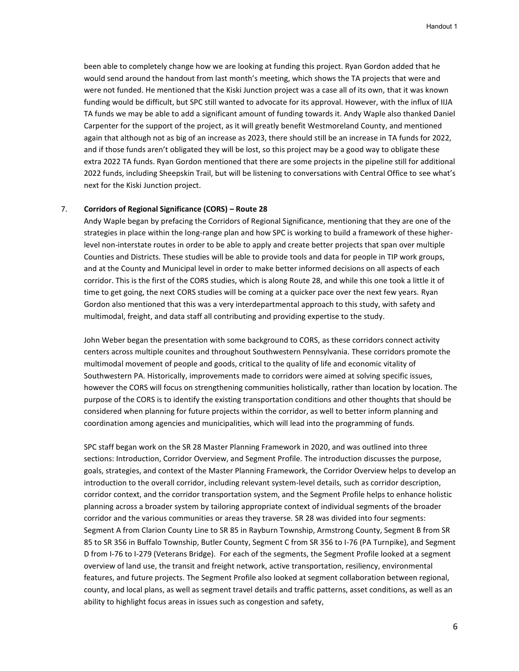been able to completely change how we are looking at funding this project. Ryan Gordon added that he would send around the handout from last month's meeting, which shows the TA projects that were and were not funded. He mentioned that the Kiski Junction project was a case all of its own, that it was known funding would be difficult, but SPC still wanted to advocate for its approval. However, with the influx of IIJA TA funds we may be able to add a significant amount of funding towards it. Andy Waple also thanked Daniel Carpenter for the support of the project, as it will greatly benefit Westmoreland County, and mentioned again that although not as big of an increase as 2023, there should still be an increase in TA funds for 2022, and if those funds aren't obligated they will be lost, so this project may be a good way to obligate these extra 2022 TA funds. Ryan Gordon mentioned that there are some projects in the pipeline still for additional 2022 funds, including Sheepskin Trail, but will be listening to conversations with Central Office to see what's next for the Kiski Junction project.

# 7. **Corridors of Regional Significance (CORS) – Route 28**

Andy Waple began by prefacing the Corridors of Regional Significance, mentioning that they are one of the strategies in place within the long-range plan and how SPC is working to build a framework of these higherlevel non-interstate routes in order to be able to apply and create better projects that span over multiple Counties and Districts. These studies will be able to provide tools and data for people in TIP work groups, and at the County and Municipal level in order to make better informed decisions on all aspects of each corridor. This is the first of the CORS studies, which is along Route 28, and while this one took a little it of time to get going, the next CORS studies will be coming at a quicker pace over the next few years. Ryan Gordon also mentioned that this was a very interdepartmental approach to this study, with safety and multimodal, freight, and data staff all contributing and providing expertise to the study.

John Weber began the presentation with some background to CORS, as these corridors connect activity centers across multiple counites and throughout Southwestern Pennsylvania. These corridors promote the multimodal movement of people and goods, critical to the quality of life and economic vitality of Southwestern PA. Historically, improvements made to corridors were aimed at solving specific issues, however the CORS will focus on strengthening communities holistically, rather than location by location. The purpose of the CORS is to identify the existing transportation conditions and other thoughts that should be considered when planning for future projects within the corridor, as well to better inform planning and coordination among agencies and municipalities, which will lead into the programming of funds.

SPC staff began work on the SR 28 Master Planning Framework in 2020, and was outlined into three sections: Introduction, Corridor Overview, and Segment Profile. The introduction discusses the purpose, goals, strategies, and context of the Master Planning Framework, the Corridor Overview helps to develop an introduction to the overall corridor, including relevant system-level details, such as corridor description, corridor context, and the corridor transportation system, and the Segment Profile helps to enhance holistic planning across a broader system by tailoring appropriate context of individual segments of the broader corridor and the various communities or areas they traverse. SR 28 was divided into four segments: Segment A from Clarion County Line to SR 85 in Rayburn Township, Armstrong County, Segment B from SR 85 to SR 356 in Buffalo Township, Butler County, Segment C from SR 356 to I-76 (PA Turnpike), and Segment D from I-76 to I-279 (Veterans Bridge). For each of the segments, the Segment Profile looked at a segment overview of land use, the transit and freight network, active transportation, resiliency, environmental features, and future projects. The Segment Profile also looked at segment collaboration between regional, county, and local plans, as well as segment travel details and traffic patterns, asset conditions, as well as an ability to highlight focus areas in issues such as congestion and safety,